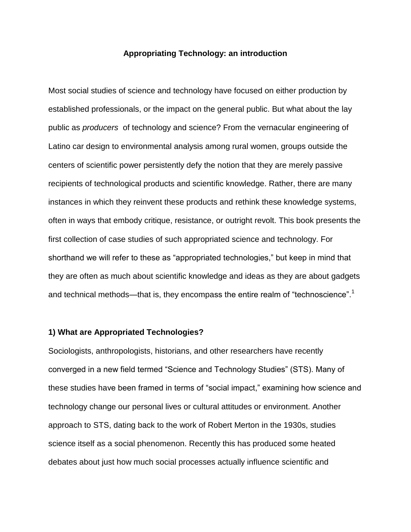#### **Appropriating Technology: an introduction**

Most social studies of science and technology have focused on either production by established professionals, or the impact on the general public. But what about the lay public as *producers* of technology and science? From the vernacular engineering of Latino car design to environmental analysis among rural women, groups outside the centers of scientific power persistently defy the notion that they are merely passive recipients of technological products and scientific knowledge. Rather, there are many instances in which they reinvent these products and rethink these knowledge systems, often in ways that embody critique, resistance, or outright revolt. This book presents the first collection of case studies of such appropriated science and technology. For shorthand we will refer to these as "appropriated technologies," but keep in mind that they are often as much about scientific knowledge and ideas as they are about gadgets and technical methods—that is, they encompass the entire realm of "technoscience". $1$ 

## **1) What are Appropriated Technologies?**

Sociologists, anthropologists, historians, and other researchers have recently converged in a new field termed "Science and Technology Studies" (STS). Many of these studies have been framed in terms of "social impact," examining how science and technology change our personal lives or cultural attitudes or environment. Another approach to STS, dating back to the work of Robert Merton in the 1930s, studies science itself as a social phenomenon. Recently this has produced some heated debates about just how much social processes actually influence scientific and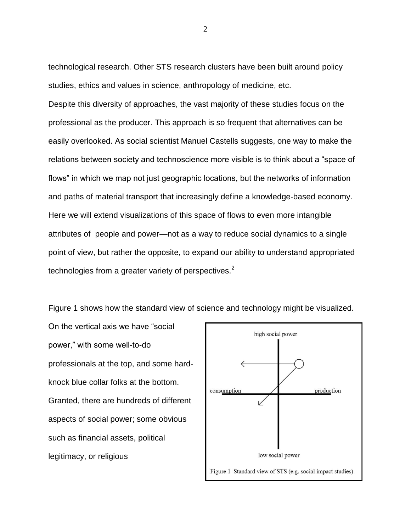technological research. Other STS research clusters have been built around policy studies, ethics and values in science, anthropology of medicine, etc.

Despite this diversity of approaches, the vast majority of these studies focus on the professional as the producer. This approach is so frequent that alternatives can be easily overlooked. As social scientist Manuel Castells suggests, one way to make the relations between society and technoscience more visible is to think about a "space of flows" in which we map not just geographic locations, but the networks of information and paths of material transport that increasingly define a knowledge-based economy. Here we will extend visualizations of this space of flows to even more intangible attributes of people and power—not as a way to reduce social dynamics to a single point of view, but rather the opposite, to expand our ability to understand appropriated technologies from a greater variety of perspectives. $2^2$ 

Figure 1 shows how the standard view of science and technology might be visualized.

On the vertical axis we have "social power," with some well-to-do professionals at the top, and some hardknock blue collar folks at the bottom. Granted, there are hundreds of different aspects of social power; some obvious such as financial assets, political legitimacy, or religious

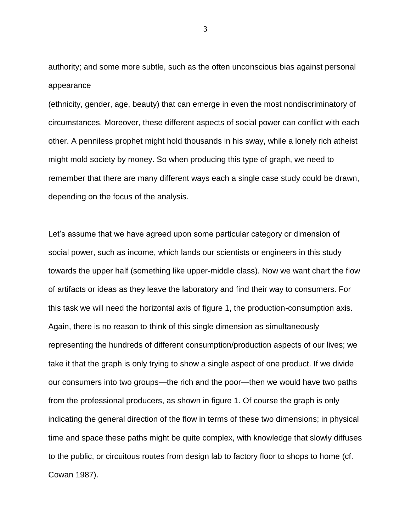authority; and some more subtle, such as the often unconscious bias against personal appearance

(ethnicity, gender, age, beauty) that can emerge in even the most nondiscriminatory of circumstances. Moreover, these different aspects of social power can conflict with each other. A penniless prophet might hold thousands in his sway, while a lonely rich atheist might mold society by money. So when producing this type of graph, we need to remember that there are many different ways each a single case study could be drawn, depending on the focus of the analysis.

Let's assume that we have agreed upon some particular category or dimension of social power, such as income, which lands our scientists or engineers in this study towards the upper half (something like upper-middle class). Now we want chart the flow of artifacts or ideas as they leave the laboratory and find their way to consumers. For this task we will need the horizontal axis of figure 1, the production-consumption axis. Again, there is no reason to think of this single dimension as simultaneously representing the hundreds of different consumption/production aspects of our lives; we take it that the graph is only trying to show a single aspect of one product. If we divide our consumers into two groups—the rich and the poor—then we would have two paths from the professional producers, as shown in figure 1. Of course the graph is only indicating the general direction of the flow in terms of these two dimensions; in physical time and space these paths might be quite complex, with knowledge that slowly diffuses to the public, or circuitous routes from design lab to factory floor to shops to home (cf. Cowan 1987).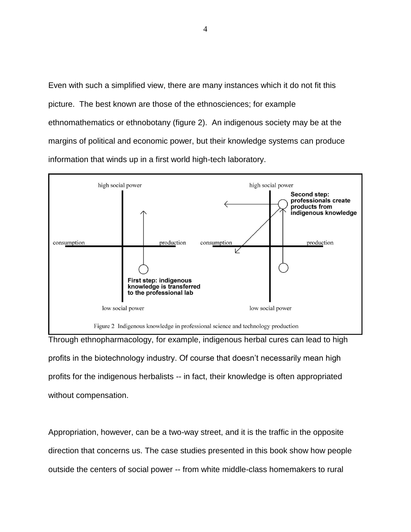Even with such a simplified view, there are many instances which it do not fit this picture. The best known are those of the ethnosciences; for example ethnomathematics or ethnobotany (figure 2). An indigenous society may be at the margins of political and economic power, but their knowledge systems can produce information that winds up in a first world high-tech laboratory.



Through ethnopharmacology, for example, indigenous herbal cures can lead to high profits in the biotechnology industry. Of course that doesn't necessarily mean high profits for the indigenous herbalists -- in fact, their knowledge is often appropriated without compensation.

Appropriation, however, can be a two-way street, and it is the traffic in the opposite direction that concerns us. The case studies presented in this book show how people outside the centers of social power -- from white middle-class homemakers to rural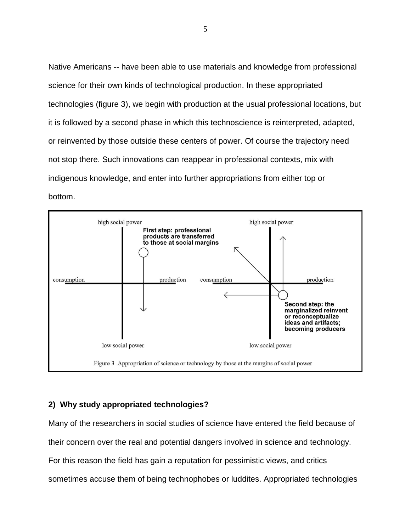Native Americans -- have been able to use materials and knowledge from professional science for their own kinds of technological production. In these appropriated technologies (figure 3), we begin with production at the usual professional locations, but it is followed by a second phase in which this technoscience is reinterpreted, adapted, or reinvented by those outside these centers of power. Of course the trajectory need not stop there. Such innovations can reappear in professional contexts, mix with indigenous knowledge, and enter into further appropriations from either top or bottom.



# **2) Why study appropriated technologies?**

Many of the researchers in social studies of science have entered the field because of their concern over the real and potential dangers involved in science and technology. For this reason the field has gain a reputation for pessimistic views, and critics sometimes accuse them of being technophobes or luddites. Appropriated technologies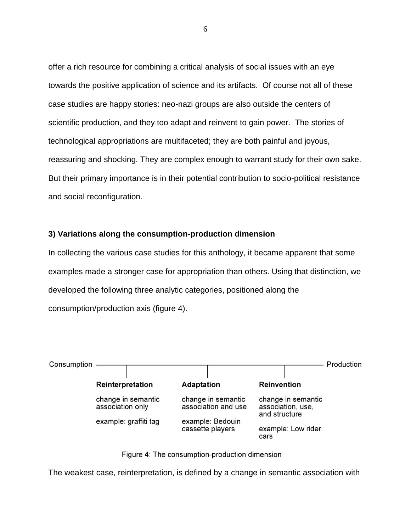offer a rich resource for combining a critical analysis of social issues with an eye towards the positive application of science and its artifacts. Of course not all of these case studies are happy stories: neo-nazi groups are also outside the centers of scientific production, and they too adapt and reinvent to gain power. The stories of technological appropriations are multifaceted; they are both painful and joyous, reassuring and shocking. They are complex enough to warrant study for their own sake. But their primary importance is in their potential contribution to socio-political resistance and social reconfiguration.

### **3) Variations along the consumption-production dimension**

In collecting the various case studies for this anthology, it became apparent that some examples made a stronger case for appropriation than others. Using that distinction, we developed the following three analytic categories, positioned along the consumption/production axis (figure 4).





The weakest case, reinterpretation, is defined by a change in semantic association with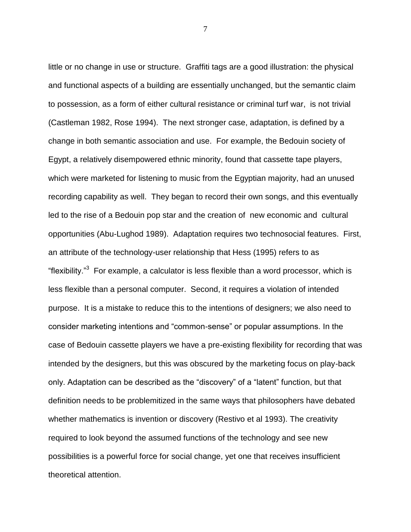little or no change in use or structure. Graffiti tags are a good illustration: the physical and functional aspects of a building are essentially unchanged, but the semantic claim to possession, as a form of either cultural resistance or criminal turf war, is not trivial (Castleman 1982, Rose 1994). The next stronger case, adaptation, is defined by a change in both semantic association and use. For example, the Bedouin society of Egypt, a relatively disempowered ethnic minority, found that cassette tape players, which were marketed for listening to music from the Egyptian majority, had an unused recording capability as well. They began to record their own songs, and this eventually led to the rise of a Bedouin pop star and the creation of new economic and cultural opportunities (Abu-Lughod 1989). Adaptation requires two technosocial features. First, an attribute of the technology-user relationship that Hess (1995) refers to as "flexibility."<sup>3</sup> For example, a calculator is less flexible than a word processor, which is less flexible than a personal computer. Second, it requires a violation of intended purpose. It is a mistake to reduce this to the intentions of designers; we also need to consider marketing intentions and "common-sense" or popular assumptions. In the case of Bedouin cassette players we have a pre-existing flexibility for recording that was intended by the designers, but this was obscured by the marketing focus on play-back only. Adaptation can be described as the "discovery" of a "latent" function, but that definition needs to be problemitized in the same ways that philosophers have debated whether mathematics is invention or discovery (Restivo et al 1993). The creativity required to look beyond the assumed functions of the technology and see new possibilities is a powerful force for social change, yet one that receives insufficient theoretical attention.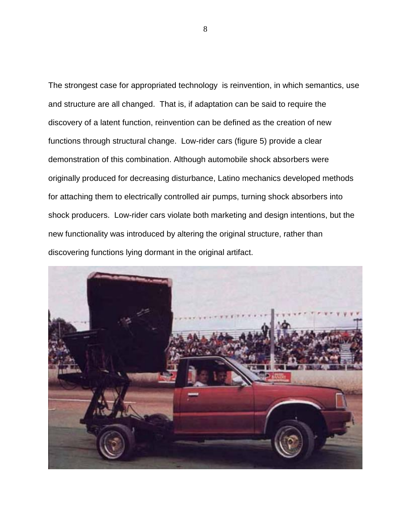The strongest case for appropriated technology is reinvention, in which semantics, use and structure are all changed. That is, if adaptation can be said to require the discovery of a latent function, reinvention can be defined as the creation of new functions through structural change. Low-rider cars (figure 5) provide a clear demonstration of this combination. Although automobile shock absorbers were originally produced for decreasing disturbance, Latino mechanics developed methods for attaching them to electrically controlled air pumps, turning shock absorbers into shock producers. Low-rider cars violate both marketing and design intentions, but the new functionality was introduced by altering the original structure, rather than discovering functions lying dormant in the original artifact.

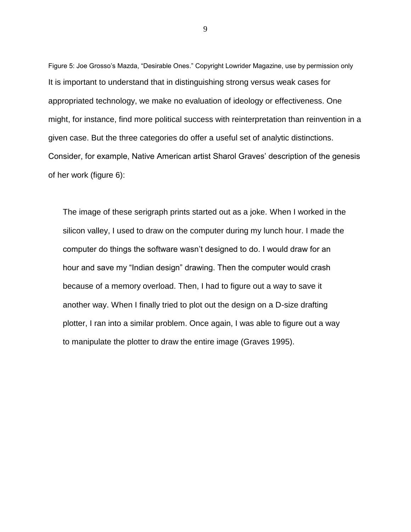Figure 5: Joe Grosso's Mazda, "Desirable Ones." Copyright Lowrider Magazine, use by permission only It is important to understand that in distinguishing strong versus weak cases for appropriated technology, we make no evaluation of ideology or effectiveness. One might, for instance, find more political success with reinterpretation than reinvention in a given case. But the three categories do offer a useful set of analytic distinctions. Consider, for example, Native American artist Sharol Graves' description of the genesis of her work (figure 6):

The image of these serigraph prints started out as a joke. When I worked in the silicon valley, I used to draw on the computer during my lunch hour. I made the computer do things the software wasn't designed to do. I would draw for an hour and save my "Indian design" drawing. Then the computer would crash because of a memory overload. Then, I had to figure out a way to save it another way. When I finally tried to plot out the design on a D-size drafting plotter, I ran into a similar problem. Once again, I was able to figure out a way to manipulate the plotter to draw the entire image (Graves 1995).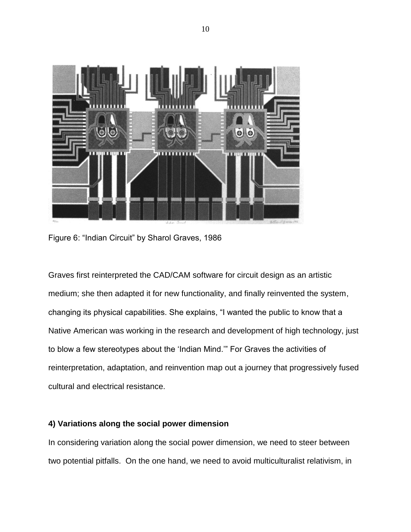

Figure 6: "Indian Circuit" by Sharol Graves, 1986

Graves first reinterpreted the CAD/CAM software for circuit design as an artistic medium; she then adapted it for new functionality, and finally reinvented the system, changing its physical capabilities. She explains, "I wanted the public to know that a Native American was working in the research and development of high technology, just to blow a few stereotypes about the 'Indian Mind.'" For Graves the activities of reinterpretation, adaptation, and reinvention map out a journey that progressively fused cultural and electrical resistance.

## **4) Variations along the social power dimension**

In considering variation along the social power dimension, we need to steer between two potential pitfalls. On the one hand, we need to avoid multiculturalist relativism, in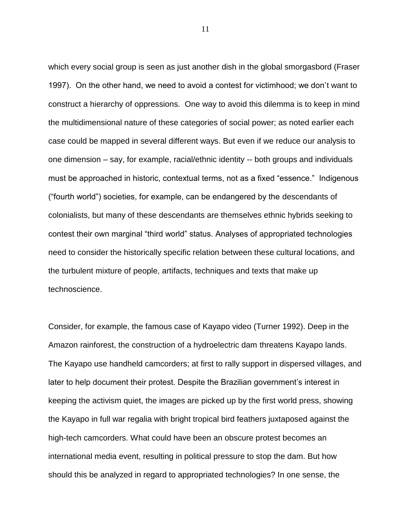which every social group is seen as just another dish in the global smorgasbord (Fraser 1997). On the other hand, we need to avoid a contest for victimhood; we don't want to construct a hierarchy of oppressions. One way to avoid this dilemma is to keep in mind the multidimensional nature of these categories of social power; as noted earlier each case could be mapped in several different ways. But even if we reduce our analysis to one dimension – say, for example, racial/ethnic identity -- both groups and individuals must be approached in historic, contextual terms, not as a fixed "essence." Indigenous (―fourth world‖) societies, for example, can be endangered by the descendants of colonialists, but many of these descendants are themselves ethnic hybrids seeking to contest their own marginal "third world" status. Analyses of appropriated technologies need to consider the historically specific relation between these cultural locations, and the turbulent mixture of people, artifacts, techniques and texts that make up technoscience.

Consider, for example, the famous case of Kayapo video (Turner 1992). Deep in the Amazon rainforest, the construction of a hydroelectric dam threatens Kayapo lands. The Kayapo use handheld camcorders; at first to rally support in dispersed villages, and later to help document their protest. Despite the Brazilian government's interest in keeping the activism quiet, the images are picked up by the first world press, showing the Kayapo in full war regalia with bright tropical bird feathers juxtaposed against the high-tech camcorders. What could have been an obscure protest becomes an international media event, resulting in political pressure to stop the dam. But how should this be analyzed in regard to appropriated technologies? In one sense, the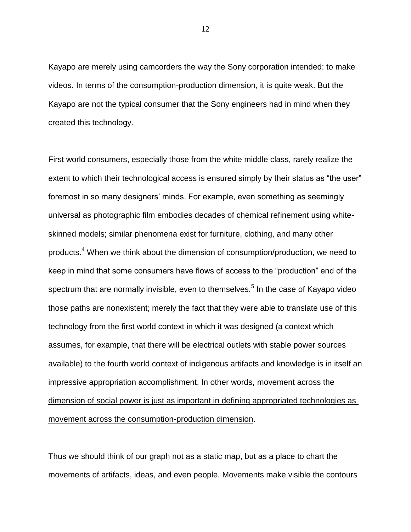Kayapo are merely using camcorders the way the Sony corporation intended: to make videos. In terms of the consumption-production dimension, it is quite weak. But the Kayapo are not the typical consumer that the Sony engineers had in mind when they created this technology.

First world consumers, especially those from the white middle class, rarely realize the extent to which their technological access is ensured simply by their status as "the user" foremost in so many designers' minds. For example, even something as seemingly universal as photographic film embodies decades of chemical refinement using whiteskinned models; similar phenomena exist for furniture, clothing, and many other products.<sup>4</sup> When we think about the dimension of consumption/production, we need to keep in mind that some consumers have flows of access to the "production" end of the spectrum that are normally invisible, even to themselves.<sup>5</sup> In the case of Kayapo video those paths are nonexistent; merely the fact that they were able to translate use of this technology from the first world context in which it was designed (a context which assumes, for example, that there will be electrical outlets with stable power sources available) to the fourth world context of indigenous artifacts and knowledge is in itself an impressive appropriation accomplishment. In other words, movement across the dimension of social power is just as important in defining appropriated technologies as movement across the consumption-production dimension.

Thus we should think of our graph not as a static map, but as a place to chart the movements of artifacts, ideas, and even people. Movements make visible the contours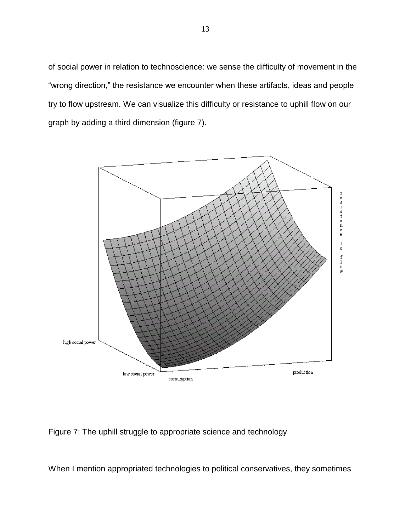of social power in relation to technoscience: we sense the difficulty of movement in the "wrong direction," the resistance we encounter when these artifacts, ideas and people try to flow upstream. We can visualize this difficulty or resistance to uphill flow on our graph by adding a third dimension (figure 7).



Figure 7: The uphill struggle to appropriate science and technology

When I mention appropriated technologies to political conservatives, they sometimes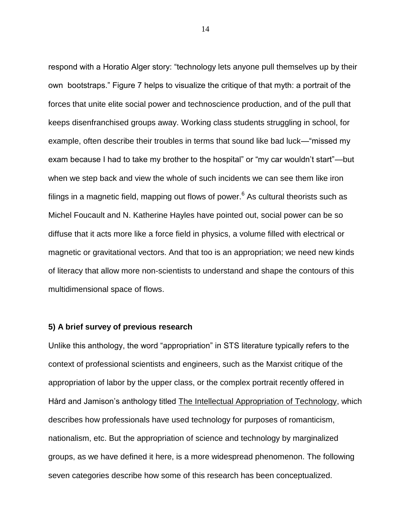respond with a Horatio Alger story: "technology lets anyone pull themselves up by their own bootstraps.‖ Figure 7 helps to visualize the critique of that myth: a portrait of the forces that unite elite social power and technoscience production, and of the pull that keeps disenfranchised groups away. Working class students struggling in school, for example, often describe their troubles in terms that sound like bad luck—"missed my exam because I had to take my brother to the hospital" or "my car wouldn't start"—but when we step back and view the whole of such incidents we can see them like iron filings in a magnetic field, mapping out flows of power. $6$  As cultural theorists such as Michel Foucault and N. Katherine Hayles have pointed out, social power can be so diffuse that it acts more like a force field in physics, a volume filled with electrical or magnetic or gravitational vectors. And that too is an appropriation; we need new kinds of literacy that allow more non-scientists to understand and shape the contours of this multidimensional space of flows.

#### **5) A brief survey of previous research**

Unlike this anthology, the word "appropriation" in STS literature typically refers to the context of professional scientists and engineers, such as the Marxist critique of the appropriation of labor by the upper class, or the complex portrait recently offered in Hård and Jamison's anthology titled The Intellectual Appropriation of Technology, which describes how professionals have used technology for purposes of romanticism, nationalism, etc. But the appropriation of science and technology by marginalized groups, as we have defined it here, is a more widespread phenomenon. The following seven categories describe how some of this research has been conceptualized.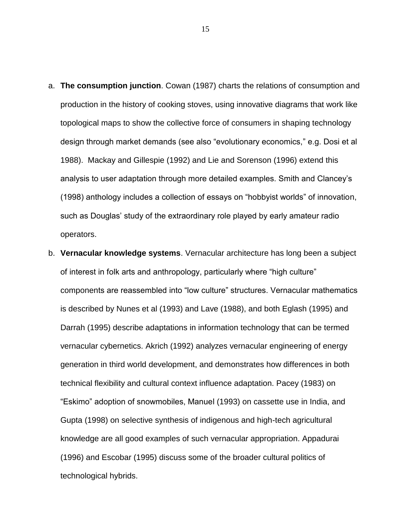- a. **The consumption junction**. Cowan (1987) charts the relations of consumption and production in the history of cooking stoves, using innovative diagrams that work like topological maps to show the collective force of consumers in shaping technology design through market demands (see also "evolutionary economics," e.g. Dosi et al 1988). Mackay and Gillespie (1992) and Lie and Sorenson (1996) extend this analysis to user adaptation through more detailed examples. Smith and Clancey's (1998) anthology includes a collection of essays on "hobbyist worlds" of innovation, such as Douglas' study of the extraordinary role played by early amateur radio operators.
- b. **Vernacular knowledge systems**. Vernacular architecture has long been a subject of interest in folk arts and anthropology, particularly where "high culture" components are reassembled into "low culture" structures. Vernacular mathematics is described by Nunes et al (1993) and Lave (1988), and both Eglash (1995) and Darrah (1995) describe adaptations in information technology that can be termed vernacular cybernetics. Akrich (1992) analyzes vernacular engineering of energy generation in third world development, and demonstrates how differences in both technical flexibility and cultural context influence adaptation. Pacey (1983) on ―Eskimo‖ adoption of snowmobiles, Manuel (1993) on cassette use in India, and Gupta (1998) on selective synthesis of indigenous and high-tech agricultural knowledge are all good examples of such vernacular appropriation. Appadurai (1996) and Escobar (1995) discuss some of the broader cultural politics of technological hybrids.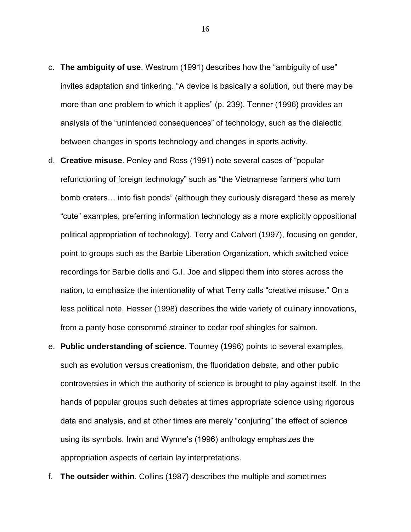- c. **The ambiguity of use**. Westrum (1991) describes how the "ambiguity of use" invites adaptation and tinkering. "A device is basically a solution, but there may be more than one problem to which it applies" (p. 239). Tenner (1996) provides an analysis of the "unintended consequences" of technology, such as the dialectic between changes in sports technology and changes in sports activity.
- d. **Creative misuse**. Penley and Ross (1991) note several cases of "popular refunctioning of foreign technology" such as "the Vietnamese farmers who turn bomb craters... into fish ponds" (although they curiously disregard these as merely ―cute‖ examples, preferring information technology as a more explicitly oppositional political appropriation of technology). Terry and Calvert (1997), focusing on gender, point to groups such as the Barbie Liberation Organization, which switched voice recordings for Barbie dolls and G.I. Joe and slipped them into stores across the nation, to emphasize the intentionality of what Terry calls "creative misuse." On a less political note, Hesser (1998) describes the wide variety of culinary innovations, from a panty hose consommé strainer to cedar roof shingles for salmon.
- e. **Public understanding of science**. Toumey (1996) points to several examples, such as evolution versus creationism, the fluoridation debate, and other public controversies in which the authority of science is brought to play against itself. In the hands of popular groups such debates at times appropriate science using rigorous data and analysis, and at other times are merely "conjuring" the effect of science using its symbols. Irwin and Wynne's (1996) anthology emphasizes the appropriation aspects of certain lay interpretations.
- f. **The outsider within**. Collins (1987) describes the multiple and sometimes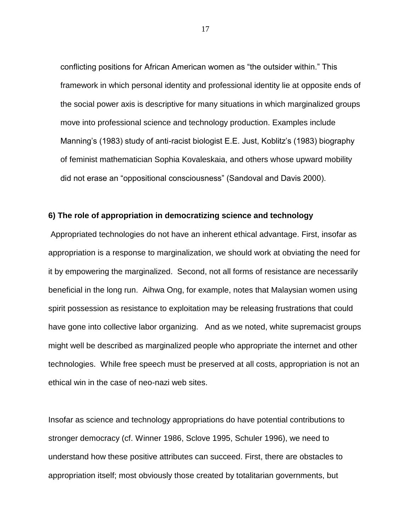conflicting positions for African American women as "the outsider within." This framework in which personal identity and professional identity lie at opposite ends of the social power axis is descriptive for many situations in which marginalized groups move into professional science and technology production. Examples include Manning's (1983) study of anti-racist biologist E.E. Just, Koblitz's (1983) biography of feminist mathematician Sophia Kovaleskaia, and others whose upward mobility did not erase an "oppositional consciousness" (Sandoval and Davis 2000).

### **6) The role of appropriation in democratizing science and technology**

Appropriated technologies do not have an inherent ethical advantage. First, insofar as appropriation is a response to marginalization, we should work at obviating the need for it by empowering the marginalized. Second, not all forms of resistance are necessarily beneficial in the long run. Aihwa Ong, for example, notes that Malaysian women using spirit possession as resistance to exploitation may be releasing frustrations that could have gone into collective labor organizing. And as we noted, white supremacist groups might well be described as marginalized people who appropriate the internet and other technologies. While free speech must be preserved at all costs, appropriation is not an ethical win in the case of neo-nazi web sites.

Insofar as science and technology appropriations do have potential contributions to stronger democracy (cf. Winner 1986, Sclove 1995, Schuler 1996), we need to understand how these positive attributes can succeed. First, there are obstacles to appropriation itself; most obviously those created by totalitarian governments, but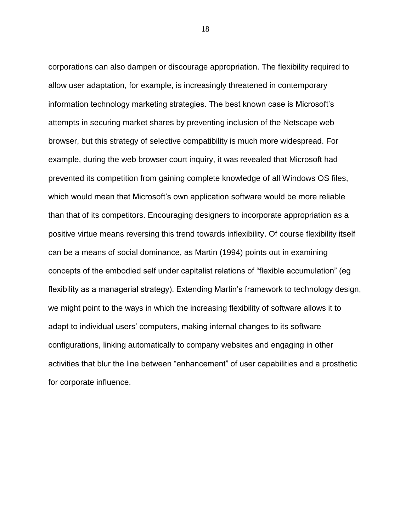corporations can also dampen or discourage appropriation. The flexibility required to allow user adaptation, for example, is increasingly threatened in contemporary information technology marketing strategies. The best known case is Microsoft's attempts in securing market shares by preventing inclusion of the Netscape web browser, but this strategy of selective compatibility is much more widespread. For example, during the web browser court inquiry, it was revealed that Microsoft had prevented its competition from gaining complete knowledge of all Windows OS files, which would mean that Microsoft's own application software would be more reliable than that of its competitors. Encouraging designers to incorporate appropriation as a positive virtue means reversing this trend towards inflexibility. Of course flexibility itself can be a means of social dominance, as Martin (1994) points out in examining concepts of the embodied self under capitalist relations of "flexible accumulation" (eg flexibility as a managerial strategy). Extending Martin's framework to technology design, we might point to the ways in which the increasing flexibility of software allows it to adapt to individual users' computers, making internal changes to its software configurations, linking automatically to company websites and engaging in other activities that blur the line between "enhancement" of user capabilities and a prosthetic for corporate influence.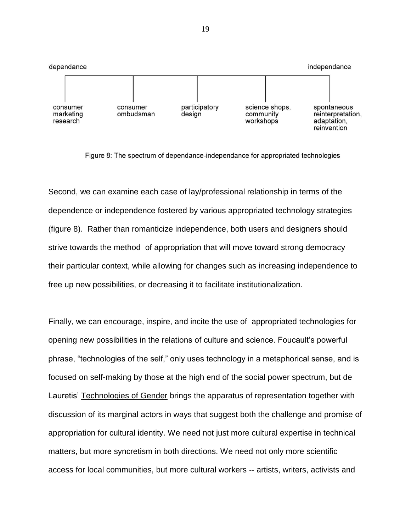

Figure 8: The spectrum of dependance-independance for appropriated technologies

Second, we can examine each case of lay/professional relationship in terms of the dependence or independence fostered by various appropriated technology strategies (figure 8). Rather than romanticize independence, both users and designers should strive towards the method of appropriation that will move toward strong democracy their particular context, while allowing for changes such as increasing independence to free up new possibilities, or decreasing it to facilitate institutionalization.

Finally, we can encourage, inspire, and incite the use of appropriated technologies for opening new possibilities in the relations of culture and science. Foucault's powerful phrase, "technologies of the self," only uses technology in a metaphorical sense, and is focused on self-making by those at the high end of the social power spectrum, but de Lauretis' Technologies of Gender brings the apparatus of representation together with discussion of its marginal actors in ways that suggest both the challenge and promise of appropriation for cultural identity. We need not just more cultural expertise in technical matters, but more syncretism in both directions. We need not only more scientific access for local communities, but more cultural workers -- artists, writers, activists and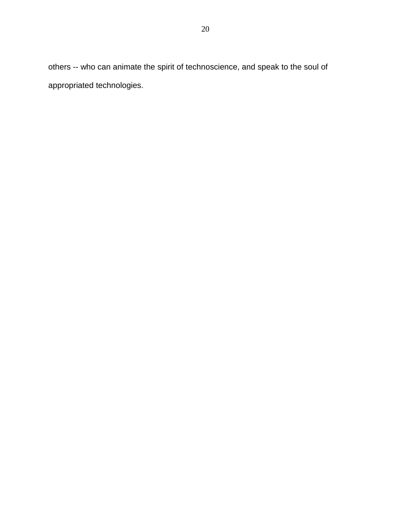others -- who can animate the spirit of technoscience, and speak to the soul of appropriated technologies.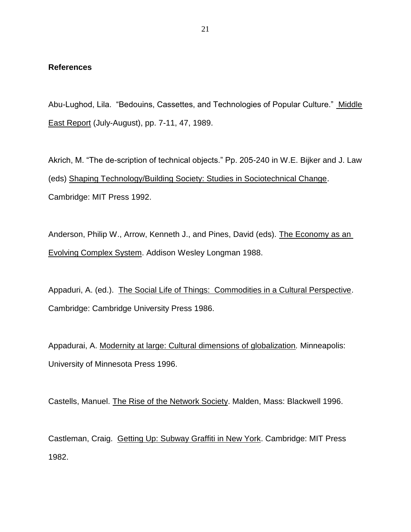#### **References**

Abu-Lughod, Lila. "Bedouins, Cassettes, and Technologies of Popular Culture." Middle East Report (July-August), pp. 7-11, 47, 1989.

Akrich, M. "The de-scription of technical objects." Pp. 205-240 in W.E. Bijker and J. Law (eds) Shaping Technology/Building Society: Studies in Sociotechnical Change. Cambridge: MIT Press 1992.

Anderson, Philip W., Arrow, Kenneth J., and Pines, David (eds). The Economy as an Evolving Complex System. Addison Wesley Longman 1988.

Appaduri, A. (ed.). The Social Life of Things: Commodities in a Cultural Perspective. Cambridge: Cambridge University Press 1986.

Appadurai, A. Modernity at large: Cultural dimensions of globalization*.* Minneapolis: University of Minnesota Press 1996.

Castells, Manuel. The Rise of the Network Society. Malden, Mass: Blackwell 1996.

Castleman, Craig. Getting Up: Subway Graffiti in New York. Cambridge: MIT Press 1982.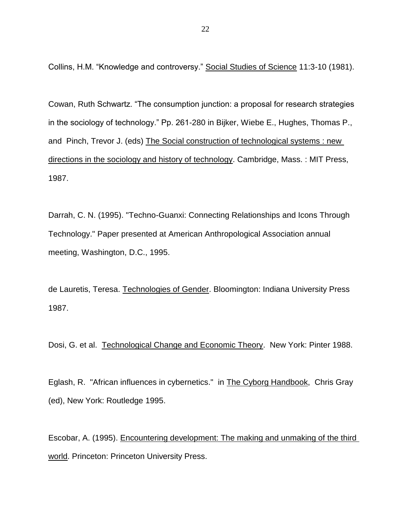Collins, H.M. "Knowledge and controversy." Social Studies of Science 11:3-10 (1981).

Cowan, Ruth Schwartz. "The consumption junction: a proposal for research strategies in the sociology of technology." Pp. 261-280 in Bijker, Wiebe E., Hughes, Thomas P., and Pinch, Trevor J. (eds) The Social construction of technological systems : new directions in the sociology and history of technology. Cambridge, Mass. : MIT Press, 1987.

Darrah, C. N. (1995). "Techno-Guanxi: Connecting Relationships and Icons Through Technology." Paper presented at American Anthropological Association annual meeting, Washington, D.C., 1995.

de Lauretis, Teresa. Technologies of Gender. Bloomington: Indiana University Press 1987.

Dosi, G. et al. Technological Change and Economic Theory. New York: Pinter 1988.

Eglash, R. "African influences in cybernetics." in The Cyborg Handbook, Chris Gray (ed), New York: Routledge 1995.

Escobar, A. (1995). Encountering development: The making and unmaking of the third world. Princeton: Princeton University Press.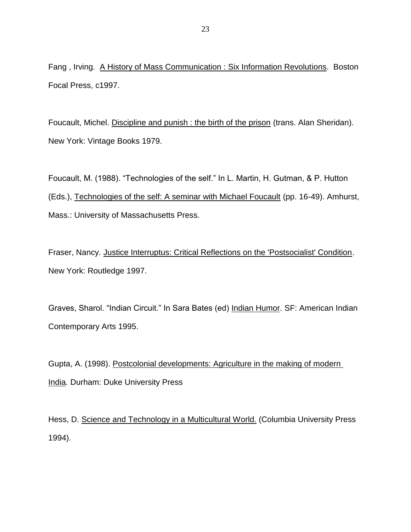Fang , Irving. A History of Mass Communication : Six Information Revolutions. Boston Focal Press, c1997.

Foucault, Michel. Discipline and punish : the birth of the prison (trans. Alan Sheridan). New York: Vintage Books 1979.

Foucault, M. (1988). "Technologies of the self." In L. Martin, H. Gutman, & P. Hutton (Eds.), Technologies of the self: A seminar with Michael Foucault (pp. 16-49). Amhurst, Mass.: University of Massachusetts Press.

Fraser, Nancy. Justice Interruptus: Critical Reflections on the 'Postsocialist' Condition. New York: Routledge 1997.

Graves, Sharol. "Indian Circuit." In Sara Bates (ed) Indian Humor. SF: American Indian Contemporary Arts 1995.

Gupta, A. (1998). Postcolonial developments: Agriculture in the making of modern India*.* Durham: Duke University Press

Hess, D. Science and Technology in a Multicultural World. (Columbia University Press 1994).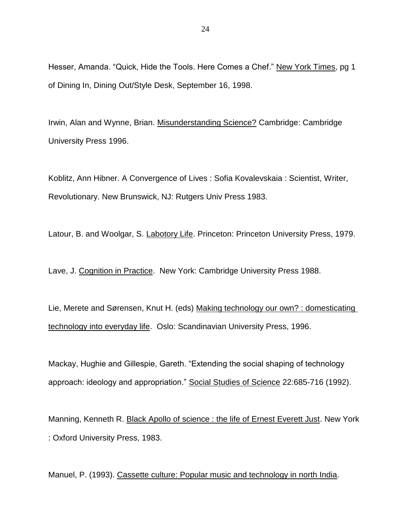Hesser, Amanda. "Quick, Hide the Tools. Here Comes a Chef." New York Times, pg 1 of Dining In, Dining Out/Style Desk, September 16, 1998.

Irwin, Alan and Wynne, Brian. Misunderstanding Science? Cambridge: Cambridge University Press 1996.

Koblitz, Ann Hibner. A Convergence of Lives : Sofia Kovalevskaia : Scientist, Writer, Revolutionary. New Brunswick, NJ: Rutgers Univ Press 1983.

Latour, B. and Woolgar, S. Labotory Life. Princeton: Princeton University Press, 1979.

Lave, J. Cognition in Practice. New York: Cambridge University Press 1988.

Lie, Merete and Sørensen, Knut H. (eds) Making technology our own? : domesticating technology into everyday life. Oslo: Scandinavian University Press, 1996.

Mackay, Hughie and Gillespie, Gareth. "Extending the social shaping of technology approach: ideology and appropriation." Social Studies of Science 22:685-716 (1992).

Manning, Kenneth R. Black Apollo of science : the life of Ernest Everett Just. New York : Oxford University Press, 1983.

Manuel, P. (1993). Cassette culture: Popular music and technology in north India*.*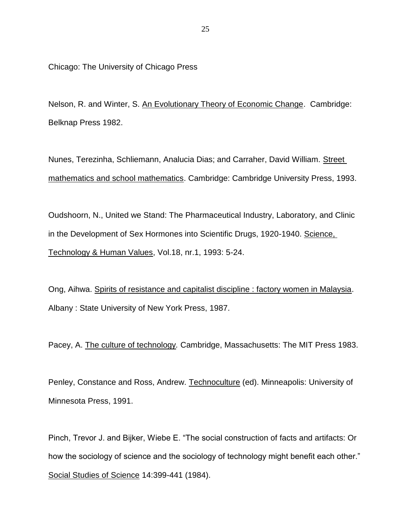Chicago: The University of Chicago Press

Nelson, R. and Winter, S. An Evolutionary Theory of Economic Change. Cambridge: Belknap Press 1982.

Nunes, Terezinha, Schliemann, Analucia Dias; and Carraher, David William. Street mathematics and school mathematics. Cambridge: Cambridge University Press, 1993.

Oudshoorn, N., United we Stand: The Pharmaceutical Industry, Laboratory, and Clinic in the Development of Sex Hormones into Scientific Drugs, 1920-1940. Science, Technology & Human Values, Vol.18, nr.1, 1993: 5-24.

Ong, Aihwa. Spirits of resistance and capitalist discipline : factory women in Malaysia. Albany : State University of New York Press, 1987.

Pacey, A. The culture of technology*.* Cambridge, Massachusetts: The MIT Press 1983.

Penley, Constance and Ross, Andrew. Technoculture (ed). Minneapolis: University of Minnesota Press, 1991.

Pinch, Trevor J. and Bijker, Wiebe E. "The social construction of facts and artifacts: Or how the sociology of science and the sociology of technology might benefit each other." Social Studies of Science 14:399-441 (1984).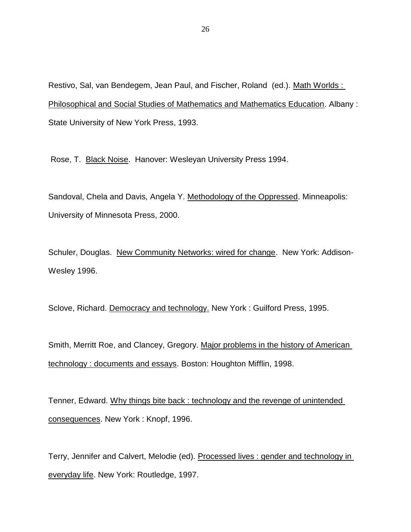Restivo, Sal, van Bendegem, Jean Paul, and Fischer, Roland (ed.). Math Worlds : Philosophical and Social Studies of Mathematics and Mathematics Education. Albany : State University of New York Press, 1993.

Rose, T. Black Noise. Hanover: Wesleyan University Press 1994.

Sandoval, Chela and Davis, Angela Y. Methodology of the Oppressed. Minneapolis: University of Minnesota Press, 2000.

Schuler, Douglas. New Community Networks: wired for change. New York: Addison-Wesley 1996.

Sclove, Richard. Democracy and technology. New York: Guilford Press, 1995.

Smith, Merritt Roe, and Clancey, Gregory. Major problems in the history of American technology : documents and essays. Boston: Houghton Mifflin, 1998.

Tenner, Edward. Why things bite back : technology and the revenge of unintended consequences. New York : Knopf, 1996.

Terry, Jennifer and Calvert, Melodie (ed). Processed lives : gender and technology in everyday life. New York: Routledge, 1997.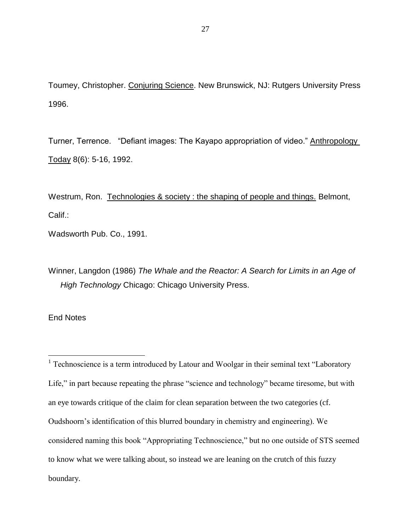Toumey, Christopher. Conjuring Science. New Brunswick, NJ: Rutgers University Press 1996.

Turner, Terrence. "Defiant images: The Kayapo appropriation of video." Anthropology Today 8(6): 5-16, 1992.

Westrum, Ron. Technologies & society : the shaping of people and things. Belmont, Calif.:

Wadsworth Pub. Co., 1991.

Winner, Langdon (1986) *The Whale and the Reactor: A Search for Limits in an Age of High Technology* Chicago: Chicago University Press.

End Notes

 $\overline{a}$ 

<sup>1</sup> Technoscience is a term introduced by Latour and Woolgar in their seminal text "Laboratory Life," in part because repeating the phrase "science and technology" became tiresome, but with an eye towards critique of the claim for clean separation between the two categories (cf. Oudshoorn's identification of this blurred boundary in chemistry and engineering). We considered naming this book "Appropriating Technoscience," but no one outside of STS seemed to know what we were talking about, so instead we are leaning on the crutch of this fuzzy boundary.